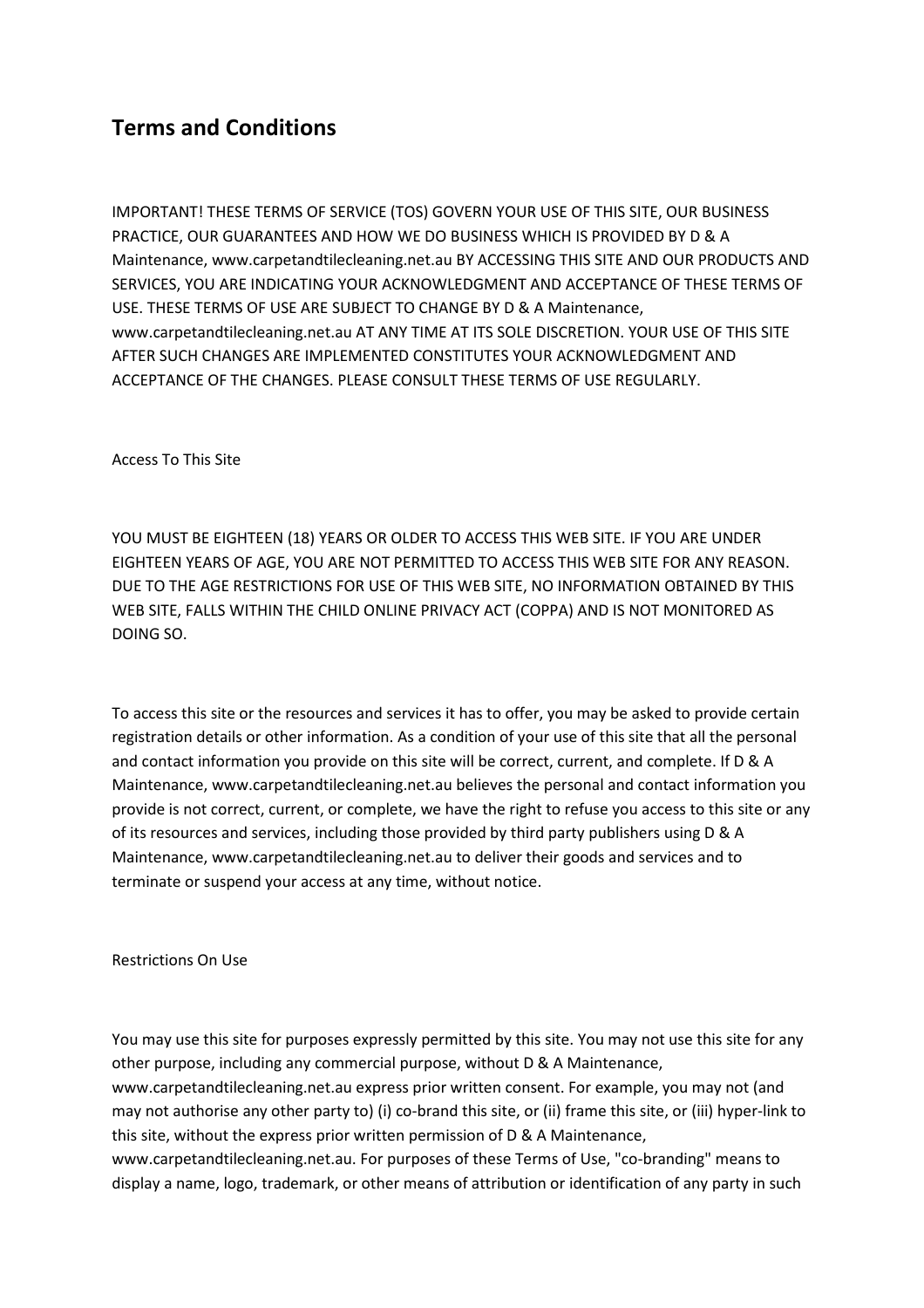# **Terms and Conditions**

IMPORTANT! THESE TERMS OF SERVICE (TOS) GOVERN YOUR USE OF THIS SITE, OUR BUSINESS PRACTICE, OUR GUARANTEES AND HOW WE DO BUSINESS WHICH IS PROVIDED BY D & A Maintenance, www.carpetandtilecleaning.net.au BY ACCESSING THIS SITE AND OUR PRODUCTS AND SERVICES, YOU ARE INDICATING YOUR ACKNOWLEDGMENT AND ACCEPTANCE OF THESE TERMS OF USE. THESE TERMS OF USE ARE SUBJECT TO CHANGE BY D & A Maintenance, www.carpetandtilecleaning.net.au AT ANY TIME AT ITS SOLE DISCRETION. YOUR USE OF THIS SITE AFTER SUCH CHANGES ARE IMPLEMENTED CONSTITUTES YOUR ACKNOWLEDGMENT AND ACCEPTANCE OF THE CHANGES. PLEASE CONSULT THESE TERMS OF USE REGULARLY.

Access To This Site

YOU MUST BE EIGHTEEN (18) YEARS OR OLDER TO ACCESS THIS WEB SITE. IF YOU ARE UNDER EIGHTEEN YEARS OF AGE, YOU ARE NOT PERMITTED TO ACCESS THIS WEB SITE FOR ANY REASON. DUE TO THE AGE RESTRICTIONS FOR USE OF THIS WEB SITE, NO INFORMATION OBTAINED BY THIS WEB SITE, FALLS WITHIN THE CHILD ONLINE PRIVACY ACT (COPPA) AND IS NOT MONITORED AS DOING SO.

To access this site or the resources and services it has to offer, you may be asked to provide certain registration details or other information. As a condition of your use of this site that all the personal and contact information you provide on this site will be correct, current, and complete. If D & A Maintenance, www.carpetandtilecleaning.net.au believes the personal and contact information you provide is not correct, current, or complete, we have the right to refuse you access to this site or any of its resources and services, including those provided by third party publishers using D & A Maintenance, www.carpetandtilecleaning.net.au to deliver their goods and services and to terminate or suspend your access at any time, without notice.

Restrictions On Use

You may use this site for purposes expressly permitted by this site. You may not use this site for any other purpose, including any commercial purpose, without D & A Maintenance, www.carpetandtilecleaning.net.au express prior written consent. For example, you may not (and may not authorise any other party to) (i) co-brand this site, or (ii) frame this site, or (iii) hyper-link to this site, without the express prior written permission of D & A Maintenance, www.carpetandtilecleaning.net.au. For purposes of these Terms of Use, "co-branding" means to

display a name, logo, trademark, or other means of attribution or identification of any party in such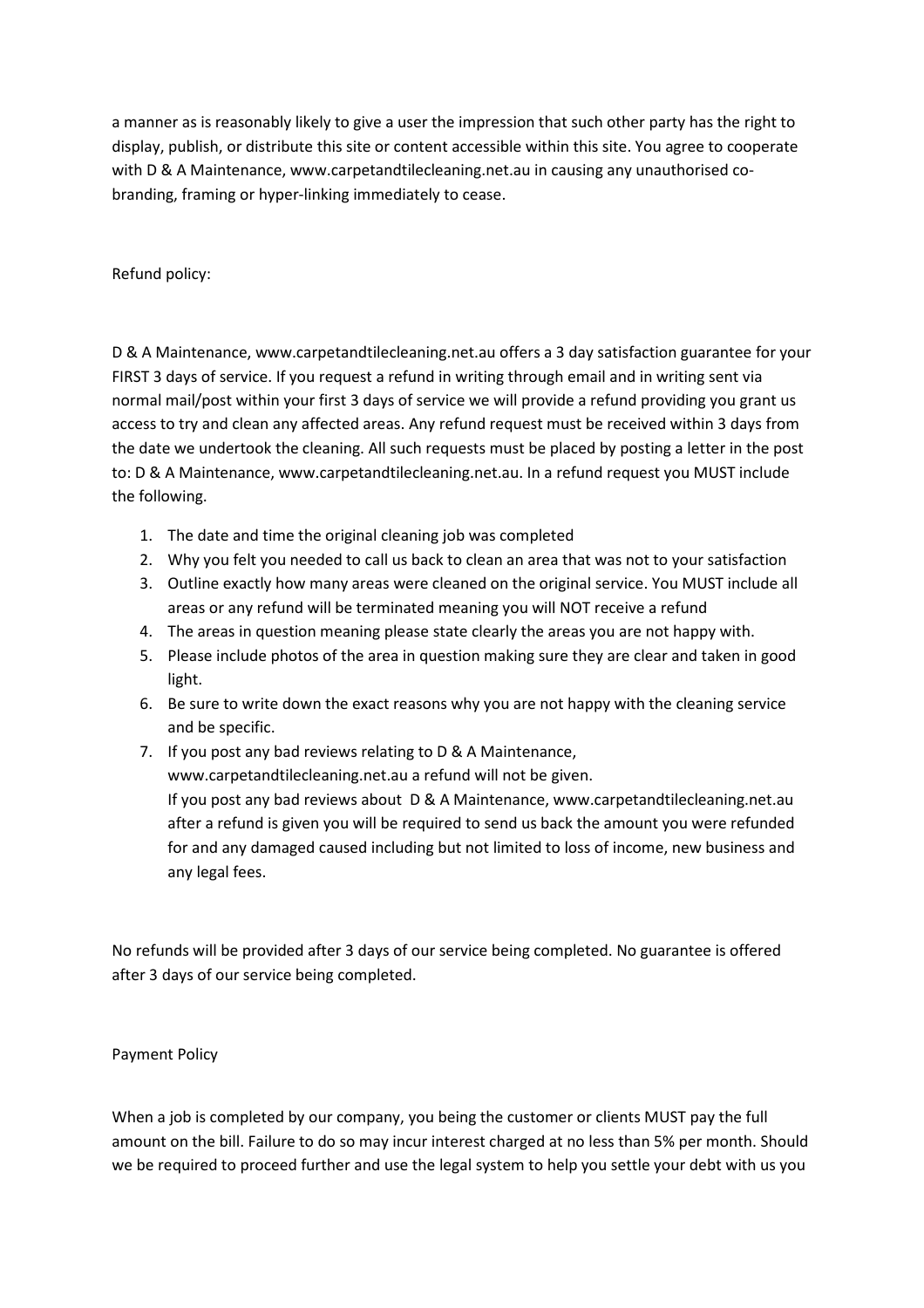a manner as is reasonably likely to give a user the impression that such other party has the right to display, publish, or distribute this site or content accessible within this site. You agree to cooperate with D & A Maintenance, www.carpetandtilecleaning.net.au in causing any unauthorised cobranding, framing or hyper-linking immediately to cease.

Refund policy:

D & A Maintenance, www.carpetandtilecleaning.net.au offers a 3 day satisfaction guarantee for your FIRST 3 days of service. If you request a refund in writing through email and in writing sent via normal mail/post within your first 3 days of service we will provide a refund providing you grant us access to try and clean any affected areas. Any refund request must be received within 3 days from the date we undertook the cleaning. All such requests must be placed by posting a letter in the post to: D & A Maintenance, www.carpetandtilecleaning.net.au. In a refund request you MUST include the following.

- 1. The date and time the original cleaning job was completed
- 2. Why you felt you needed to call us back to clean an area that was not to your satisfaction
- 3. Outline exactly how many areas were cleaned on the original service. You MUST include all areas or any refund will be terminated meaning you will NOT receive a refund
- 4. The areas in question meaning please state clearly the areas you are not happy with.
- 5. Please include photos of the area in question making sure they are clear and taken in good light.
- 6. Be sure to write down the exact reasons why you are not happy with the cleaning service and be specific.
- 7. If you post any bad reviews relating to D & A Maintenance, www.carpetandtilecleaning.net.au a refund will not be given. If you post any bad reviews about D & A Maintenance, www.carpetandtilecleaning.net.au after a refund is given you will be required to send us back the amount you were refunded for and any damaged caused including but not limited to loss of income, new business and any legal fees.

No refunds will be provided after 3 days of our service being completed. No guarantee is offered after 3 days of our service being completed.

Payment Policy

When a job is completed by our company, you being the customer or clients MUST pay the full amount on the bill. Failure to do so may incur interest charged at no less than 5% per month. Should we be required to proceed further and use the legal system to help you settle your debt with us you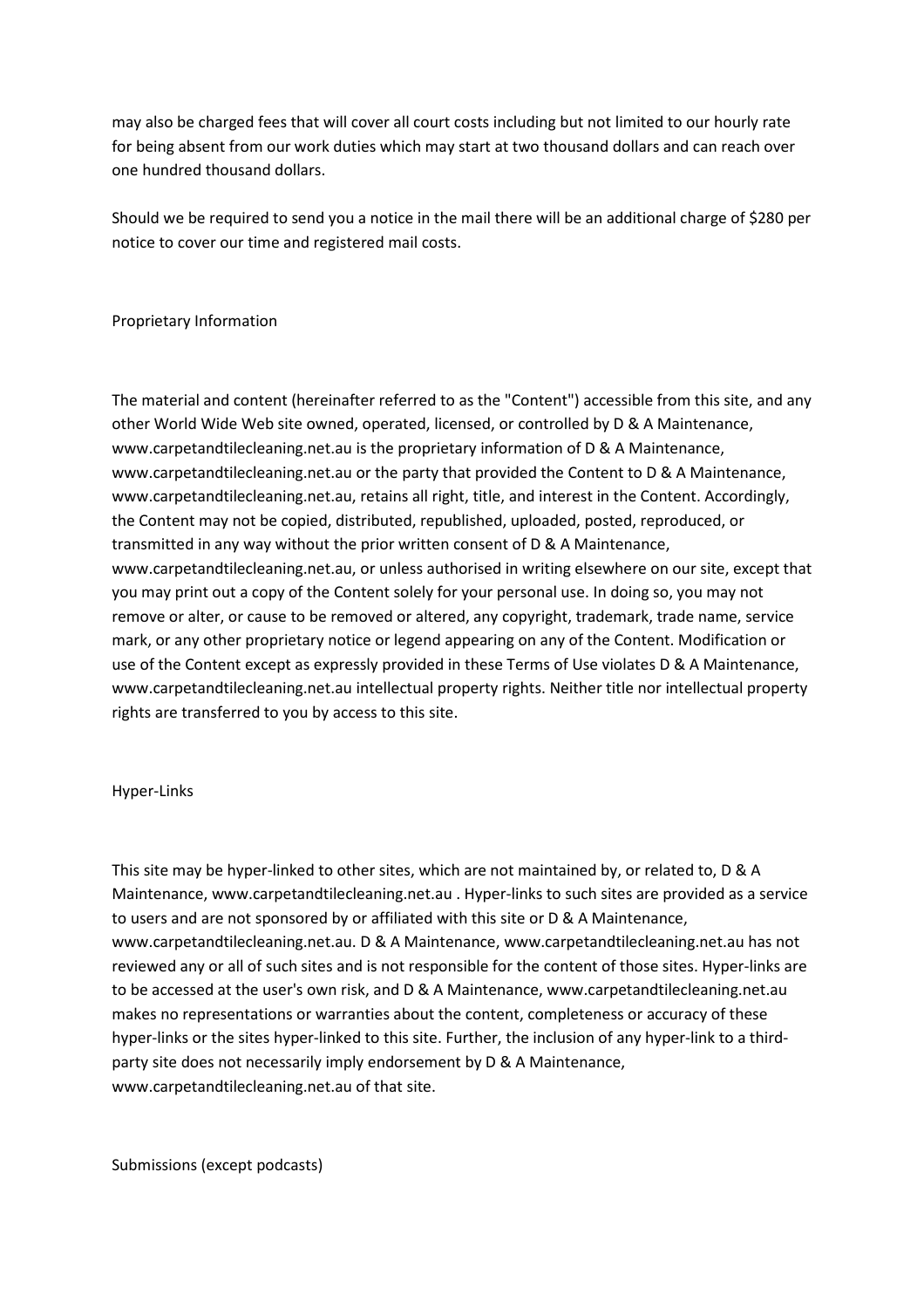may also be charged fees that will cover all court costs including but not limited to our hourly rate for being absent from our work duties which may start at two thousand dollars and can reach over one hundred thousand dollars.

Should we be required to send you a notice in the mail there will be an additional charge of \$280 per notice to cover our time and registered mail costs.

### Proprietary Information

The material and content (hereinafter referred to as the "Content") accessible from this site, and any other World Wide Web site owned, operated, licensed, or controlled by D & A Maintenance, www.carpetandtilecleaning.net.au is the proprietary information of D & A Maintenance, www.carpetandtilecleaning.net.au or the party that provided the Content to D & A Maintenance, www.carpetandtilecleaning.net.au, retains all right, title, and interest in the Content. Accordingly, the Content may not be copied, distributed, republished, uploaded, posted, reproduced, or transmitted in any way without the prior written consent of D & A Maintenance, www.carpetandtilecleaning.net.au, or unless authorised in writing elsewhere on our site, except that you may print out a copy of the Content solely for your personal use. In doing so, you may not remove or alter, or cause to be removed or altered, any copyright, trademark, trade name, service mark, or any other proprietary notice or legend appearing on any of the Content. Modification or use of the Content except as expressly provided in these Terms of Use violates D & A Maintenance, www.carpetandtilecleaning.net.au intellectual property rights. Neither title nor intellectual property rights are transferred to you by access to this site.

#### Hyper-Links

This site may be hyper-linked to other sites, which are not maintained by, or related to, D & A Maintenance, www.carpetandtilecleaning.net.au . Hyper-links to such sites are provided as a service to users and are not sponsored by or affiliated with this site or D & A Maintenance, www.carpetandtilecleaning.net.au. D & A Maintenance, www.carpetandtilecleaning.net.au has not reviewed any or all of such sites and is not responsible for the content of those sites. Hyper-links are to be accessed at the user's own risk, and D & A Maintenance, www.carpetandtilecleaning.net.au makes no representations or warranties about the content, completeness or accuracy of these hyper-links or the sites hyper-linked to this site. Further, the inclusion of any hyper-link to a thirdparty site does not necessarily imply endorsement by D & A Maintenance, www.carpetandtilecleaning.net.au of that site.

Submissions (except podcasts)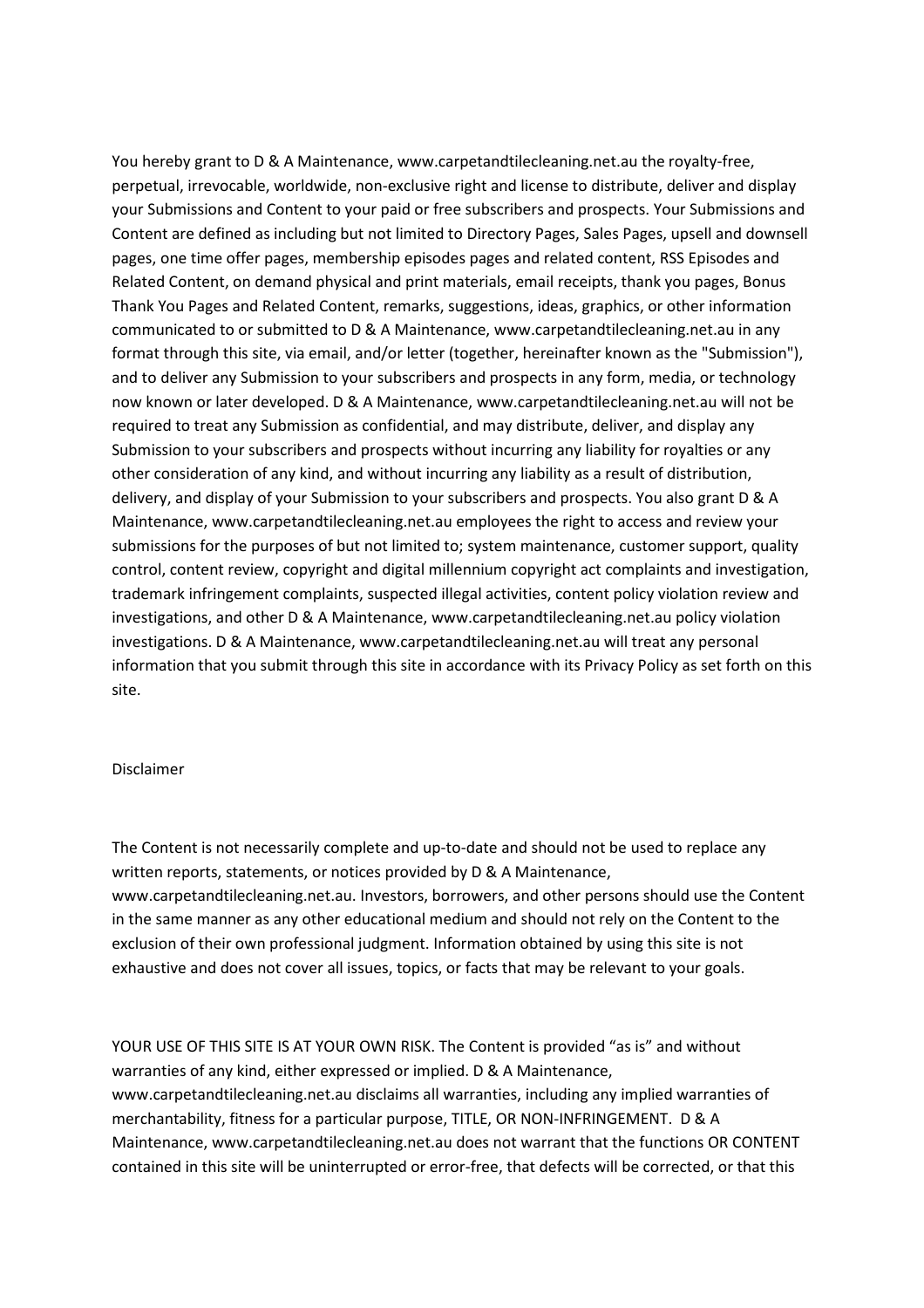You hereby grant to D & A Maintenance, www.carpetandtilecleaning.net.au the royalty-free, perpetual, irrevocable, worldwide, non-exclusive right and license to distribute, deliver and display your Submissions and Content to your paid or free subscribers and prospects. Your Submissions and Content are defined as including but not limited to Directory Pages, Sales Pages, upsell and downsell pages, one time offer pages, membership episodes pages and related content, RSS Episodes and Related Content, on demand physical and print materials, email receipts, thank you pages, Bonus Thank You Pages and Related Content, remarks, suggestions, ideas, graphics, or other information communicated to or submitted to D & A Maintenance, www.carpetandtilecleaning.net.au in any format through this site, via email, and/or letter (together, hereinafter known as the "Submission"), and to deliver any Submission to your subscribers and prospects in any form, media, or technology now known or later developed. D & A Maintenance, www.carpetandtilecleaning.net.au will not be required to treat any Submission as confidential, and may distribute, deliver, and display any Submission to your subscribers and prospects without incurring any liability for royalties or any other consideration of any kind, and without incurring any liability as a result of distribution, delivery, and display of your Submission to your subscribers and prospects. You also grant D & A Maintenance, www.carpetandtilecleaning.net.au employees the right to access and review your submissions for the purposes of but not limited to; system maintenance, customer support, quality control, content review, copyright and digital millennium copyright act complaints and investigation, trademark infringement complaints, suspected illegal activities, content policy violation review and investigations, and other D & A Maintenance, www.carpetandtilecleaning.net.au policy violation investigations. D & A Maintenance, www.carpetandtilecleaning.net.au will treat any personal information that you submit through this site in accordance with its Privacy Policy as set forth on this site.

#### Disclaimer

The Content is not necessarily complete and up-to-date and should not be used to replace any written reports, statements, or notices provided by D & A Maintenance, www.carpetandtilecleaning.net.au. Investors, borrowers, and other persons should use the Content in the same manner as any other educational medium and should not rely on the Content to the exclusion of their own professional judgment. Information obtained by using this site is not exhaustive and does not cover all issues, topics, or facts that may be relevant to your goals.

YOUR USE OF THIS SITE IS AT YOUR OWN RISK. The Content is provided "as is" and without warranties of any kind, either expressed or implied. D & A Maintenance, www.carpetandtilecleaning.net.au disclaims all warranties, including any implied warranties of merchantability, fitness for a particular purpose, TITLE, OR NON-INFRINGEMENT. D & A Maintenance, www.carpetandtilecleaning.net.au does not warrant that the functions OR CONTENT contained in this site will be uninterrupted or error-free, that defects will be corrected, or that this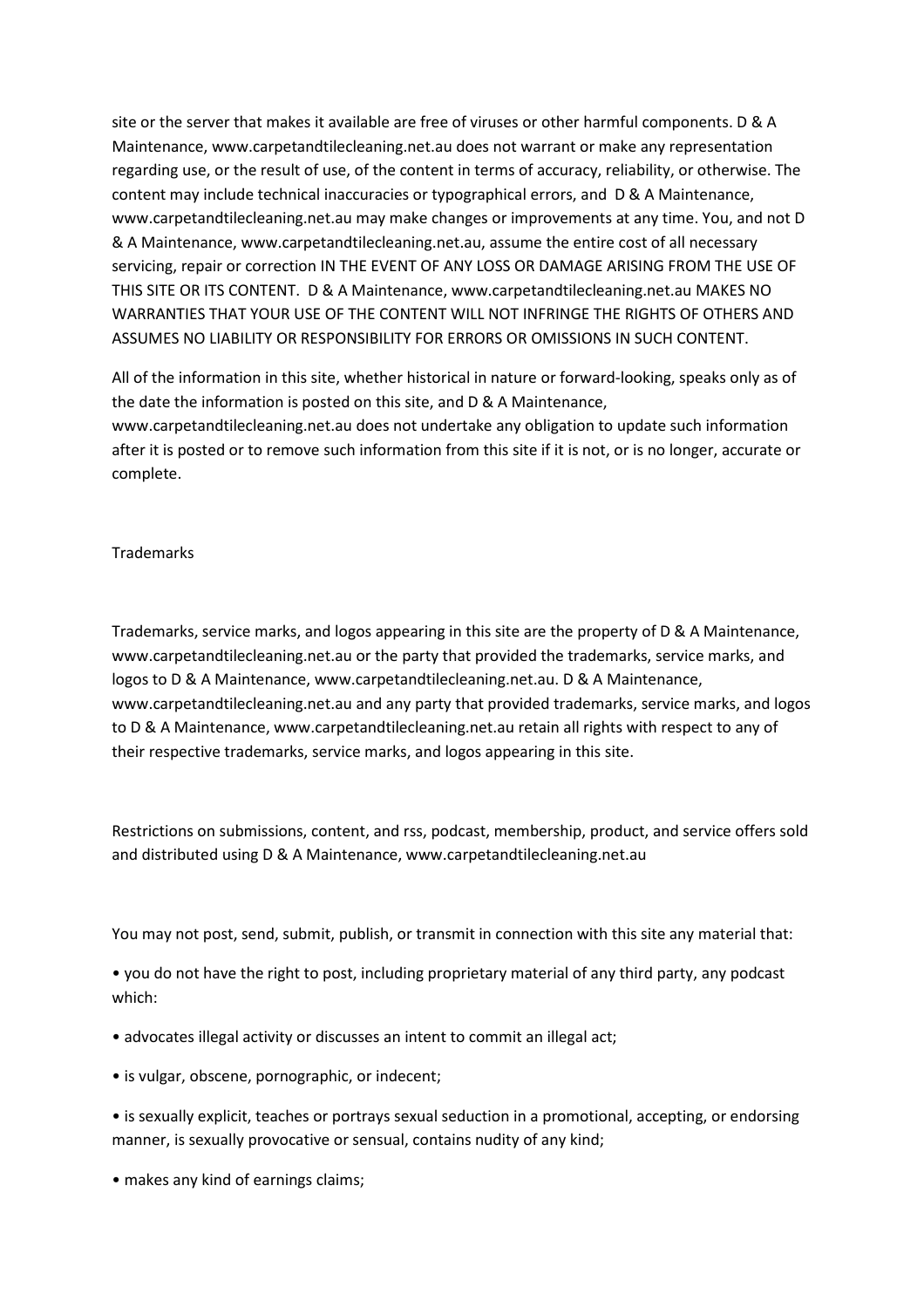site or the server that makes it available are free of viruses or other harmful components. D & A Maintenance, www.carpetandtilecleaning.net.au does not warrant or make any representation regarding use, or the result of use, of the content in terms of accuracy, reliability, or otherwise. The content may include technical inaccuracies or typographical errors, and D & A Maintenance, www.carpetandtilecleaning.net.au may make changes or improvements at any time. You, and not D & A Maintenance, www.carpetandtilecleaning.net.au, assume the entire cost of all necessary servicing, repair or correction IN THE EVENT OF ANY LOSS OR DAMAGE ARISING FROM THE USE OF THIS SITE OR ITS CONTENT. D & A Maintenance, www.carpetandtilecleaning.net.au MAKES NO WARRANTIES THAT YOUR USE OF THE CONTENT WILL NOT INFRINGE THE RIGHTS OF OTHERS AND ASSUMES NO LIABILITY OR RESPONSIBILITY FOR ERRORS OR OMISSIONS IN SUCH CONTENT.

All of the information in this site, whether historical in nature or forward-looking, speaks only as of the date the information is posted on this site, and D & A Maintenance, www.carpetandtilecleaning.net.au does not undertake any obligation to update such information after it is posted or to remove such information from this site if it is not, or is no longer, accurate or complete.

## Trademarks

Trademarks, service marks, and logos appearing in this site are the property of D & A Maintenance, www.carpetandtilecleaning.net.au or the party that provided the trademarks, service marks, and logos to D & A Maintenance, www.carpetandtilecleaning.net.au. D & A Maintenance, www.carpetandtilecleaning.net.au and any party that provided trademarks, service marks, and logos to D & A Maintenance, www.carpetandtilecleaning.net.au retain all rights with respect to any of their respective trademarks, service marks, and logos appearing in this site.

Restrictions on submissions, content, and rss, podcast, membership, product, and service offers sold and distributed using D & A Maintenance, www.carpetandtilecleaning.net.au

You may not post, send, submit, publish, or transmit in connection with this site any material that:

• you do not have the right to post, including proprietary material of any third party, any podcast which:

- advocates illegal activity or discusses an intent to commit an illegal act;
- is vulgar, obscene, pornographic, or indecent;

• is sexually explicit, teaches or portrays sexual seduction in a promotional, accepting, or endorsing manner, is sexually provocative or sensual, contains nudity of any kind;

• makes any kind of earnings claims;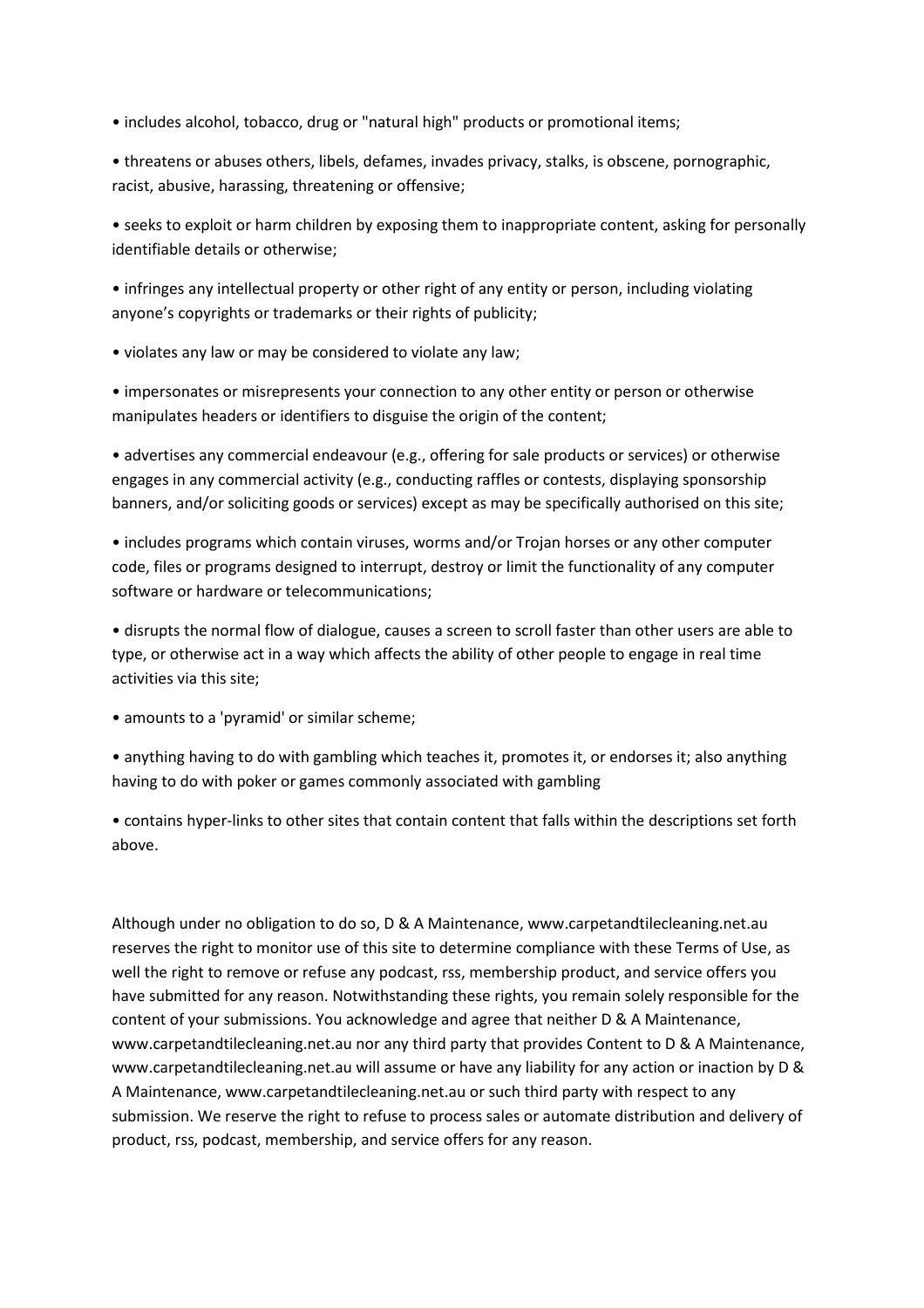• includes alcohol, tobacco, drug or "natural high" products or promotional items;

• threatens or abuses others, libels, defames, invades privacy, stalks, is obscene, pornographic, racist, abusive, harassing, threatening or offensive;

• seeks to exploit or harm children by exposing them to inappropriate content, asking for personally identifiable details or otherwise;

• infringes any intellectual property or other right of any entity or person, including violating anyone's copyrights or trademarks or their rights of publicity;

• violates any law or may be considered to violate any law;

• impersonates or misrepresents your connection to any other entity or person or otherwise manipulates headers or identifiers to disguise the origin of the content;

• advertises any commercial endeavour (e.g., offering for sale products or services) or otherwise engages in any commercial activity (e.g., conducting raffles or contests, displaying sponsorship banners, and/or soliciting goods or services) except as may be specifically authorised on this site;

• includes programs which contain viruses, worms and/or Trojan horses or any other computer code, files or programs designed to interrupt, destroy or limit the functionality of any computer software or hardware or telecommunications;

• disrupts the normal flow of dialogue, causes a screen to scroll faster than other users are able to type, or otherwise act in a way which affects the ability of other people to engage in real time activities via this site;

• amounts to a 'pyramid' or similar scheme;

• anything having to do with gambling which teaches it, promotes it, or endorses it; also anything having to do with poker or games commonly associated with gambling

• contains hyper-links to other sites that contain content that falls within the descriptions set forth above.

Although under no obligation to do so, D & A Maintenance, www.carpetandtilecleaning.net.au reserves the right to monitor use of this site to determine compliance with these Terms of Use, as well the right to remove or refuse any podcast, rss, membership product, and service offers you have submitted for any reason. Notwithstanding these rights, you remain solely responsible for the content of your submissions. You acknowledge and agree that neither D & A Maintenance, www.carpetandtilecleaning.net.au nor any third party that provides Content to D & A Maintenance, www.carpetandtilecleaning.net.au will assume or have any liability for any action or inaction by D & A Maintenance, www.carpetandtilecleaning.net.au or such third party with respect to any submission. We reserve the right to refuse to process sales or automate distribution and delivery of product, rss, podcast, membership, and service offers for any reason.